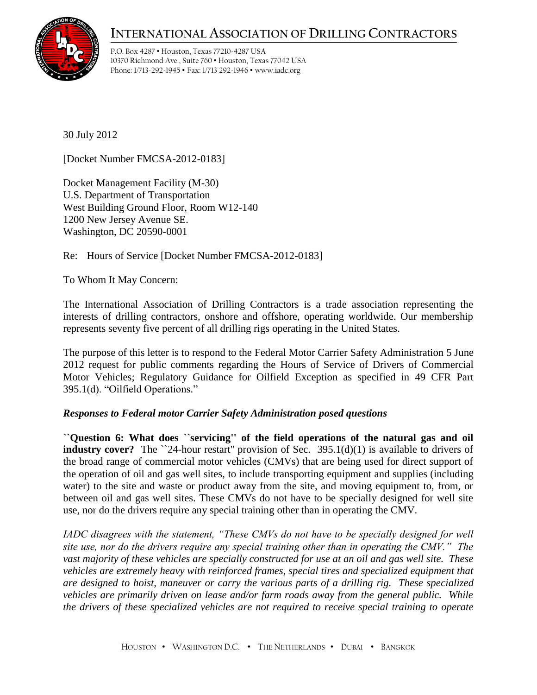## **INTERNATIONAL ASSOCIATION OF DRILLING CONTRACTORS**



P.O. Box 4287 • Houston, Texas 77210-4287 USA 10370 Richmond Ave., Suite 760 • Houston, Texas 77042 USA Phone: 1/713-292-1945 • Fax: 1/713 292-1946 • www.iadc.org

30 July 2012

[Docket Number FMCSA-2012-0183]

Docket Management Facility (M-30) U.S. Department of Transportation West Building Ground Floor, Room W12-140 1200 New Jersey Avenue SE. Washington, DC 20590-0001

Re: Hours of Service [Docket Number FMCSA-2012-0183]

To Whom It May Concern:

The International Association of Drilling Contractors is a trade association representing the interests of drilling contractors, onshore and offshore, operating worldwide. Our membership represents seventy five percent of all drilling rigs operating in the United States.

The purpose of this letter is to respond to the Federal Motor Carrier Safety Administration 5 June 2012 request for public comments regarding the Hours of Service of Drivers of Commercial Motor Vehicles; Regulatory Guidance for Oilfield Exception as specified in 49 CFR Part 395.1(d). "Oilfield Operations."

## *Responses to Federal motor Carrier Safety Administration posed questions*

**``Question 6: What does ``servicing'' of the field operations of the natural gas and oil industry cover?** The `24-hour restart" provision of Sec. 395.1(d)(1) is available to drivers of the broad range of commercial motor vehicles (CMVs) that are being used for direct support of the operation of oil and gas well sites, to include transporting equipment and supplies (including water) to the site and waste or product away from the site, and moving equipment to, from, or between oil and gas well sites. These CMVs do not have to be specially designed for well site use, nor do the drivers require any special training other than in operating the CMV.

*IADC disagrees with the statement, "These CMVs do not have to be specially designed for well site use, nor do the drivers require any special training other than in operating the CMV." The vast majority of these vehicles are specially constructed for use at an oil and gas well site. These vehicles are extremely heavy with reinforced frames, special tires and specialized equipment that are designed to hoist, maneuver or carry the various parts of a drilling rig. These specialized vehicles are primarily driven on lease and/or farm roads away from the general public. While the drivers of these specialized vehicles are not required to receive special training to operate*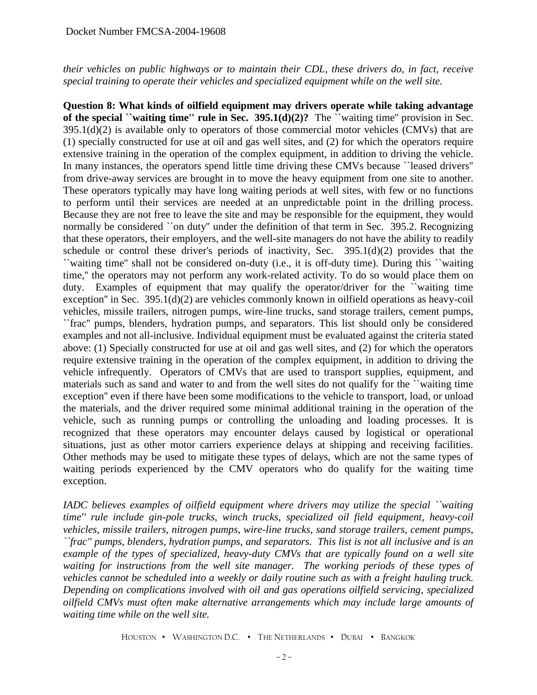*their vehicles on public highways or to maintain their CDL, these drivers do, in fact, receive special training to operate their vehicles and specialized equipment while on the well site.* 

**Question 8: What kinds of oilfield equipment may drivers operate while taking advantage of the special ``waiting time'' rule in Sec. 395.1(d)(2)?** The ``waiting time'' provision in Sec.  $395.1(d)(2)$  is available only to operators of those commercial motor vehicles (CMVs) that are (1) specially constructed for use at oil and gas well sites, and (2) for which the operators require extensive training in the operation of the complex equipment, in addition to driving the vehicle. In many instances, the operators spend little time driving these CMVs because ``leased drivers'' from drive-away services are brought in to move the heavy equipment from one site to another. These operators typically may have long waiting periods at well sites, with few or no functions to perform until their services are needed at an unpredictable point in the drilling process. Because they are not free to leave the site and may be responsible for the equipment, they would normally be considered ``on duty'' under the definition of that term in Sec. 395.2. Recognizing that these operators, their employers, and the well-site managers do not have the ability to readily schedule or control these driver's periods of inactivity, Sec. 395.1(d)(2) provides that the ``waiting time'' shall not be considered on-duty (i.e., it is off-duty time). During this ``waiting time,'' the operators may not perform any work-related activity. To do so would place them on duty. Examples of equipment that may qualify the operator/driver for the "waiting time" exception'' in Sec. 395.1(d)(2) are vehicles commonly known in oilfield operations as heavy-coil vehicles, missile trailers, nitrogen pumps, wire-line trucks, sand storage trailers, cement pumps, ``frac'' pumps, blenders, hydration pumps, and separators. This list should only be considered examples and not all-inclusive. Individual equipment must be evaluated against the criteria stated above: (1) Specially constructed for use at oil and gas well sites, and (2) for which the operators require extensive training in the operation of the complex equipment, in addition to driving the vehicle infrequently. Operators of CMVs that are used to transport supplies, equipment, and materials such as sand and water to and from the well sites do not qualify for the ``waiting time exception'' even if there have been some modifications to the vehicle to transport, load, or unload the materials, and the driver required some minimal additional training in the operation of the vehicle, such as running pumps or controlling the unloading and loading processes. It is recognized that these operators may encounter delays caused by logistical or operational situations, just as other motor carriers experience delays at shipping and receiving facilities. Other methods may be used to mitigate these types of delays, which are not the same types of waiting periods experienced by the CMV operators who do qualify for the waiting time exception.

*IADC believes examples of oilfield equipment where drivers may utilize the special ``waiting time'' rule include gin-pole trucks, winch trucks, specialized oil field equipment, heavy-coil vehicles, missile trailers, nitrogen pumps, wire-line trucks, sand storage trailers, cement pumps, ``frac'' pumps, blenders, hydration pumps, and separators. This list is not all inclusive and is an example of the types of specialized, heavy-duty CMVs that are typically found on a well site waiting for instructions from the well site manager. The working periods of these types of vehicles cannot be scheduled into a weekly or daily routine such as with a freight hauling truck. Depending on complications involved with oil and gas operations oilfield servicing, specialized oilfield CMVs must often make alternative arrangements which may include large amounts of waiting time while on the well site.*

HOUSTON • WASHINGTON D.C. • THE NETHERLANDS • DUBAI • BANGKOK